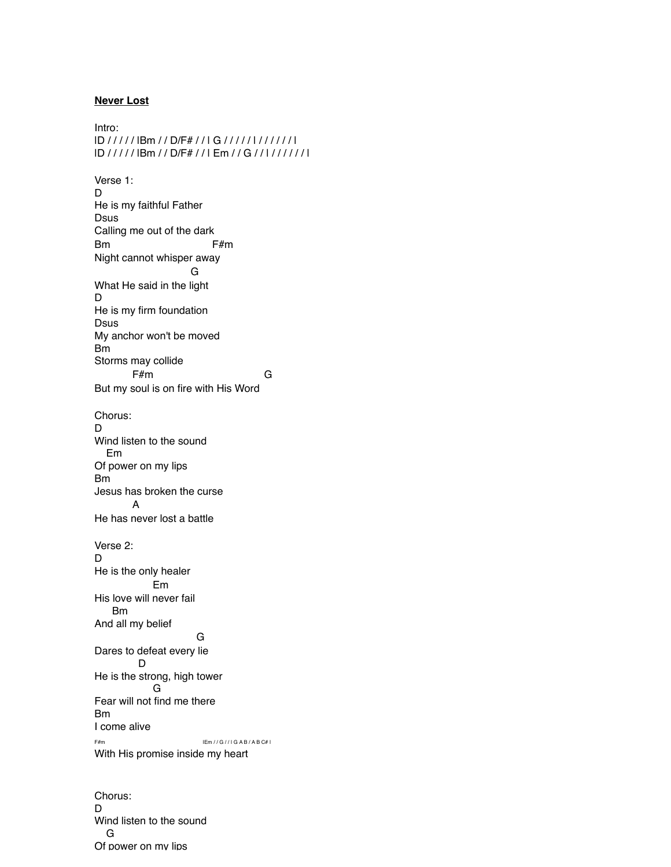## **Never Lost**

Intro: |D / / / / / |Bm / / D/F# / / | G / / / / / | / / / / / / | |D / / / / / |Bm / / D/F# / / | Em / / G / / | / / / / / / | Verse 1: D He is my faithful Father Dsus Calling me out of the dark Bm F#m Night cannot whisper away G What He said in the light D He is my firm foundation Dsus My anchor won't be moved Bm Storms may collide F#m G But my soul is on fire with His Word Chorus: D Wind listen to the sound Em Of power on my lips Bm Jesus has broken the curse A He has never lost a battle Verse 2: D He is the only healer Em His love will never fail Bm And all my belief G Dares to defeat every lie D He is the strong, high tower G Fear will not find me there Bm I come alive F#m |Em / / G / / | G A B / A B C# | With His promise inside my heart

Chorus: D Wind listen to the sound G Of power on my lips